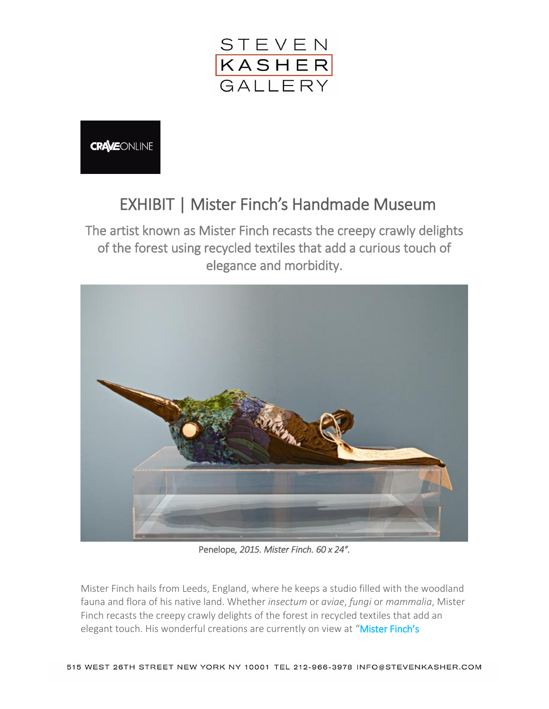

**CRAVEONLINE** 

## EXHIBIT | Mister Finch's Handmade Museum

The artist known as Mister Finch recasts the creepy crawly delights of the forest using recycled textiles that add a curious touch of elegance and morbidity.



Penelope*, 2015. Mister Finch. 60 x 24″.* 

Mister Finch hails from Leeds, England, where he keeps a studio filled with the woodland fauna and flora of his native land. Whether *insectum* or *aviae*, *fungi* or *mammalia*, Mister Finch recasts the creepy crawly delights of the forest in recycled textiles that add an elegant touch. His wonderful creations are currently on view at "Mister Finch's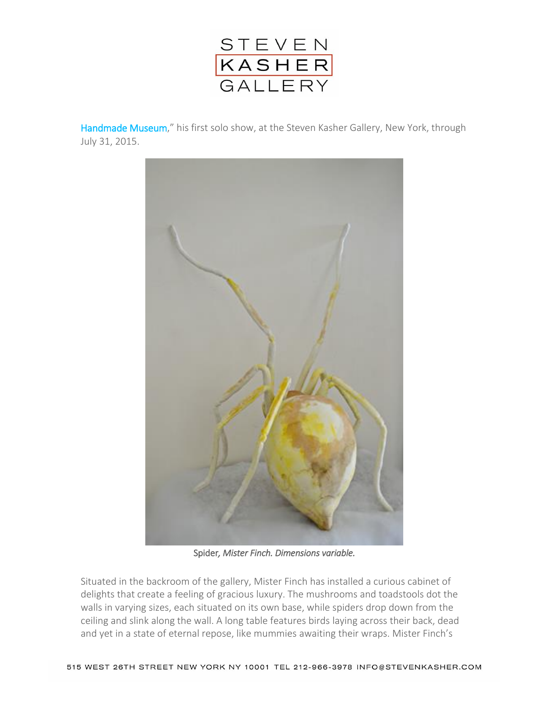

[Handmade Museum](http://www.stevenkasher.com/exhibitions/mister-finchs-handmade-museum)," his first solo show, at the Steven Kasher Gallery, New York, through July 31, 2015.



Spider*, Mister Finch. Dimensions variable.* 

Situated in the backroom of the gallery, Mister Finch has installed a curious cabinet of delights that create a feeling of gracious luxury. The mushrooms and toadstools dot the walls in varying sizes, each situated on its own base, while spiders drop down from the ceiling and slink along the wall. A long table features birds laying across their back, dead and yet in a state of eternal repose, like mummies awaiting their wraps. Mister Finch's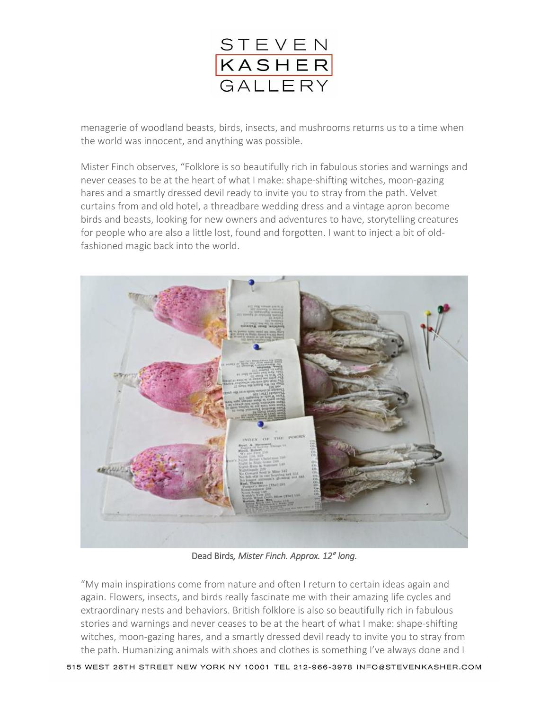

menagerie of woodland beasts, birds, insects, and mushrooms returns us to a time when the world was innocent, and anything was possible.

Mister Finch observes, "Folklore is so beautifully rich in fabulous stories and warnings and never ceases to be at the heart of what I make: shape-shifting witches, moon-gazing hares and a smartly dressed devil ready to invite you to stray from the path. Velvet curtains from and old hotel, a threadbare wedding dress and a vintage apron become birds and beasts, looking for new owners and adventures to have, storytelling creatures for people who are also a little lost, found and forgotten. I want to inject a bit of oldfashioned magic back into the world.



Dead Birds*, Mister Finch. Approx. 12″ long.* 

"My main inspirations come from nature and often I return to certain ideas again and again. Flowers, insects, and birds really fascinate me with their amazing life cycles and extraordinary nests and behaviors. British folklore is also so beautifully rich in fabulous stories and warnings and never ceases to be at the heart of what I make: shape-shifting witches, moon-gazing hares, and a smartly dressed devil ready to invite you to stray from the path. Humanizing animals with shoes and clothes is something I've always done and I

515 WEST 26TH STREET NEW YORK NY 10001 TEL 212-966-3978 INFO@STEVENKASHER.COM